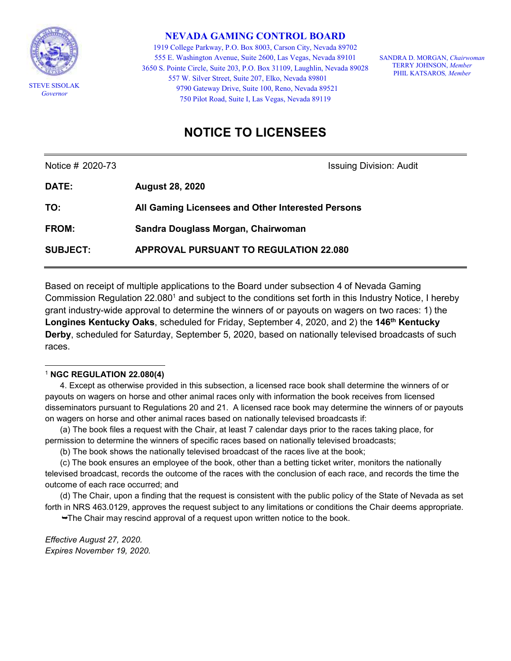

**NEVADA GAMING CONTROL BOARD**

1919 College Parkway, P.O. Box 8003, Carson City, Nevada 89702 555 E. Washington Avenue, Suite 2600, Las Vegas, Nevada 89101 3650 S. Pointe Circle, Suite 203, P.O. Box 31109, Laughlin, Nevada 89028 557 W. Silver Street, Suite 207, Elko, Nevada 89801 9790 Gateway Drive, Suite 100, Reno, Nevada 89521 750 Pilot Road, Suite I, Las Vegas, Nevada 89119

SANDRA D. MORGAN, *Chairwoman* TERRY JOHNSON, *Member* PHIL KATSAROS*, Member*

## **NOTICE TO LICENSEES**

Notice # 2020-73 **Issuing Division: Audit** 

| <b>DATE:</b>    | <b>August 28, 2020</b>                            |
|-----------------|---------------------------------------------------|
| TO:             | All Gaming Licensees and Other Interested Persons |
| <b>FROM:</b>    | Sandra Douglass Morgan, Chairwoman                |
| <b>SUBJECT:</b> | <b>APPROVAL PURSUANT TO REGULATION 22.080</b>     |

Based on receipt of multiple applications to the Board under subsection 4 of Nevada Gaming Commission Regulation 22.080<sup>1</sup> and subject to the conditions set forth in this Industry Notice, I hereby grant industry-wide approval to determine the winners of or payouts on wagers on two races: 1) the **Longines Kentucky Oaks**, scheduled for Friday, September 4, 2020, and 2) the **146th Kentucky Derby**, scheduled for Saturday, September 5, 2020, based on nationally televised broadcasts of such races.

## l <sup>1</sup> **NGC REGULATION 22.080(4)**

4. Except as otherwise provided in this subsection, a licensed race book shall determine the winners of or payouts on wagers on horse and other animal races only with information the book receives from licensed disseminators pursuant to Regulations 20 and 21. A licensed race book may determine the winners of or payouts on wagers on horse and other animal races based on nationally televised broadcasts if:

(a) The book files a request with the Chair, at least 7 calendar days prior to the races taking place, for permission to determine the winners of specific races based on nationally televised broadcasts;

(b) The book shows the nationally televised broadcast of the races live at the book;

(c) The book ensures an employee of the book, other than a betting ticket writer, monitors the nationally televised broadcast, records the outcome of the races with the conclusion of each race, and records the time the outcome of each race occurred; and

(d) The Chair, upon a finding that the request is consistent with the public policy of the State of Nevada as set forth in NRS 463.0129, approves the request subject to any limitations or conditions the Chair deems appropriate.

The Chair may rescind approval of a request upon written notice to the book.

*Effective August 27, 2020. Expires November 19, 2020.*